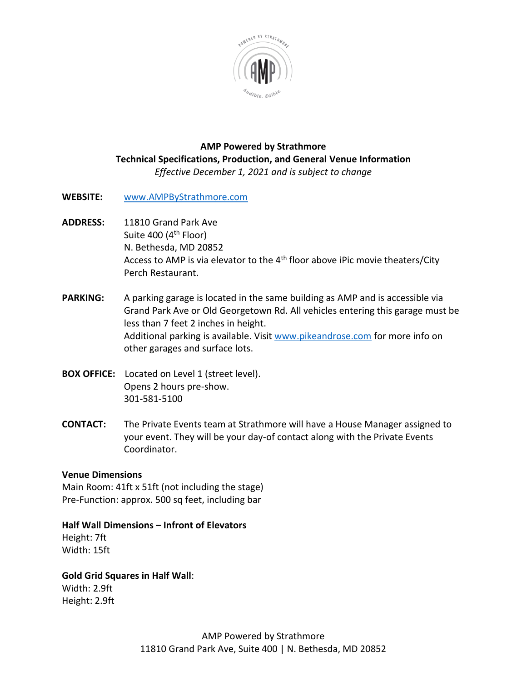

#### **AMP Powered by Strathmore Technical Specifications, Production, and General Venue Information**  *Effective December 1, 2021 and is subject to change*

- **WEBSITE:** [www.AMPByStrathmore.com](http://www.ampbystrathmore.com/)
- **ADDRESS:** 11810 Grand Park Ave Suite 400  $(4<sup>th</sup>$  Floor) N. Bethesda, MD 20852 Access to AMP is via elevator to the 4<sup>th</sup> floor above iPic movie theaters/City Perch Restaurant.
- **PARKING:** A parking garage is located in the same building as AMP and is accessible via Grand Park Ave or Old Georgetown Rd. All vehicles entering this garage must be less than 7 feet 2 inches in height. Additional parking is available. Visit [www.pikeandrose.com](http://www.pikeandrose.com/) for more info on other garages and surface lots.
- **BOX OFFICE:** Located on Level 1 (street level). Opens 2 hours pre-show. 301-581-5100
- **CONTACT:** The Private Events team at Strathmore will have a House Manager assigned to your event. They will be your day-of contact along with the Private Events Coordinator.

## **Venue Dimensions**

Main Room: 41ft x 51ft (not including the stage) Pre-Function: approx. 500 sq feet, including bar

## **Half Wall Dimensions – Infront of Elevators**

Height: 7ft Width: 15ft

## **Gold Grid Squares in Half Wall**:

Width: 2.9ft Height: 2.9ft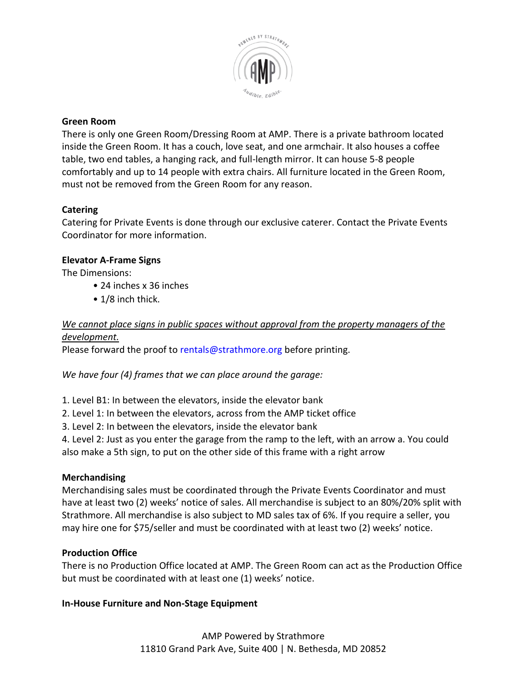

### **Green Room**

There is only one Green Room/Dressing Room at AMP. There is a private bathroom located inside the Green Room. It has a couch, love seat, and one armchair. It also houses a coffee table, two end tables, a hanging rack, and full-length mirror. It can house 5-8 people comfortably and up to 14 people with extra chairs. All furniture located in the Green Room, must not be removed from the Green Room for any reason.

## **Catering**

Catering for Private Events is done through our exclusive caterer. Contact the Private Events Coordinator for more information.

## **Elevator A-Frame Signs**

The Dimensions:

- 24 inches x 36 inches
- 1/8 inch thick.

# *We cannot place signs in public spaces without approval from the property managers of the development.*

Please forward the proof to rentals@strathmore.org before printing.

*We have four (4) frames that we can place around the garage:* 

1. Level B1: In between the elevators, inside the elevator bank

2. Level 1: In between the elevators, across from the AMP ticket office

3. Level 2: In between the elevators, inside the elevator bank

4. Level 2: Just as you enter the garage from the ramp to the left, with an arrow a. You could also make a 5th sign, to put on the other side of this frame with a right arrow

## **Merchandising**

Merchandising sales must be coordinated through the Private Events Coordinator and must have at least two (2) weeks' notice of sales. All merchandise is subject to an 80%/20% split with Strathmore. All merchandise is also subject to MD sales tax of 6%. If you require a seller, you may hire one for \$75/seller and must be coordinated with at least two (2) weeks' notice.

## **Production Office**

There is no Production Office located at AMP. The Green Room can act as the Production Office but must be coordinated with at least one (1) weeks' notice.

## **In-House Furniture and Non-Stage Equipment**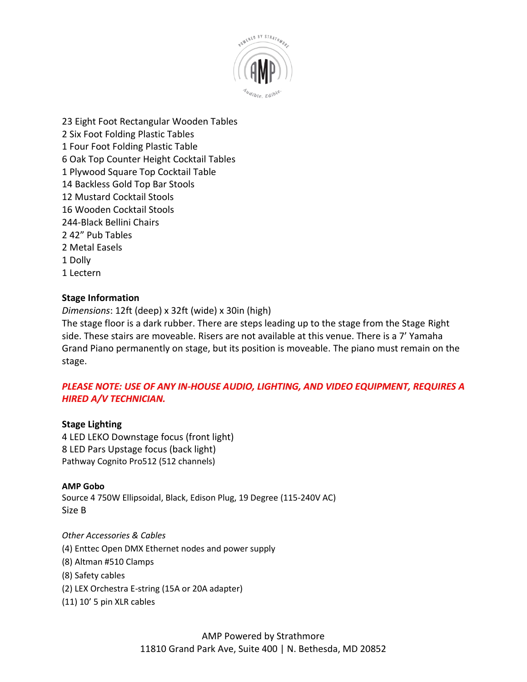

23 Eight Foot Rectangular Wooden Tables 2 Six Foot Folding Plastic Tables 1 Four Foot Folding Plastic Table 6 Oak Top Counter Height Cocktail Tables 1 Plywood Square Top Cocktail Table 14 Backless Gold Top Bar Stools 12 Mustard Cocktail Stools 16 Wooden Cocktail Stools 244-Black Bellini Chairs 2 42" Pub Tables 2 Metal Easels 1 Dolly 1 Lectern

#### **Stage Information**

*Dimensions*: 12ft (deep) x 32ft (wide) x 30in (high)

The stage floor is a dark rubber. There are steps leading up to the stage from the Stage Right side. These stairs are moveable. Risers are not available at this venue. There is a 7' Yamaha Grand Piano permanently on stage, but its position is moveable. The piano must remain on the stage.

## *PLEASE NOTE: USE OF ANY IN-HOUSE AUDIO, LIGHTING, AND VIDEO EQUIPMENT, REQUIRES A HIRED A/V TECHNICIAN.*

#### **Stage Lighting**

4 LED LEKO Downstage focus (front light) 8 LED Pars Upstage focus (back light) Pathway Cognito Pro512 (512 channels)

#### **AMP Gobo**

Source 4 750W Ellipsoidal, Black, Edison Plug, 19 Degree (115-240V AC) Size B

#### *Other Accessories & Cables*

- (4) Enttec Open DMX Ethernet nodes and power supply
- (8) Altman #510 Clamps
- (8) Safety cables
- (2) LEX Orchestra E-string (15A or 20A adapter)
- (11) 10' 5 pin XLR cables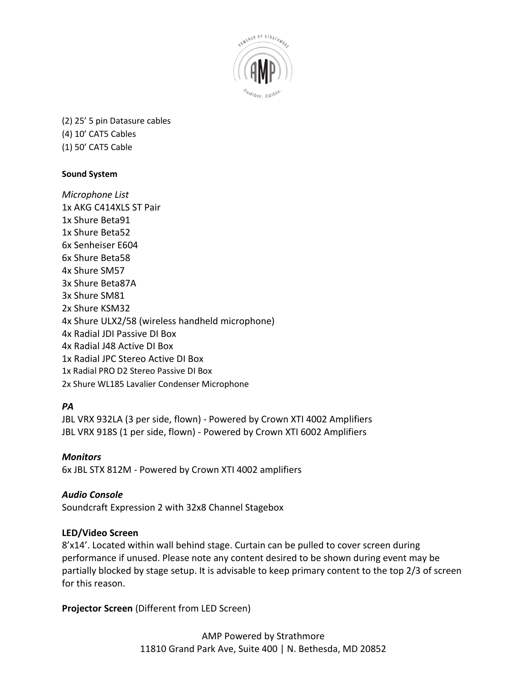

(2) 25' 5 pin Datasure cables (4) 10' CAT5 Cables (1) 50' CAT5 Cable

### **Sound System**

*Microphone List* 1x AKG C414XLS ST Pair 1x Shure Beta91 1x Shure Beta52 6x Senheiser E604 6x Shure Beta58 4x Shure SM57 3x Shure Beta87A 3x Shure SM81 2x Shure KSM32 4x Shure ULX2/58 (wireless handheld microphone) 4x Radial JDI Passive DI Box 4x Radial J48 Active DI Box 1x Radial JPC Stereo Active DI Box 1x Radial PRO D2 Stereo Passive DI Box 2x Shure WL185 Lavalier Condenser Microphone

## *PA*

JBL VRX 932LA (3 per side, flown) - Powered by Crown XTI 4002 Amplifiers JBL VRX 918S (1 per side, flown) - Powered by Crown XTI 6002 Amplifiers

*Monitors* 6x JBL STX 812M - Powered by Crown XTI 4002 amplifiers

## *Audio Console*

Soundcraft Expression 2 with 32x8 Channel Stagebox

#### **LED/Video Screen**

8'x14'. Located within wall behind stage. Curtain can be pulled to cover screen during performance if unused. Please note any content desired to be shown during event may be partially blocked by stage setup. It is advisable to keep primary content to the top 2/3 of screen for this reason.

**Projector Screen** (Different from LED Screen)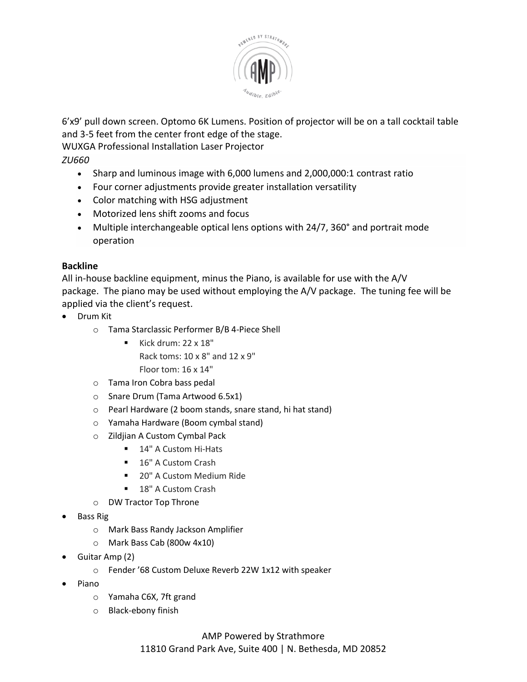

6'x9' pull down screen. Optomo 6K Lumens. Position of projector will be on a tall cocktail table and 3-5 feet from the center front edge of the stage.

WUXGA Professional Installation Laser Projector

*ZU660*

- Sharp and luminous image with 6,000 lumens and 2,000,000:1 contrast ratio
- Four corner adjustments provide greater installation versatility
- Color matching with HSG adjustment
- Motorized lens shift zooms and focus
- Multiple interchangeable optical lens options with 24/7, 360° and portrait mode operation

### **Backline**

All in-house backline equipment, minus the Piano, is available for use with the A/V package. The piano may be used without employing the A/V package. The tuning fee will be applied via the client's request.

- Drum Kit
	- o Tama Starclassic Performer B/B 4-Piece Shell
		- Kick drum: 22 x 18" Rack toms: 10 x 8" and 12 x 9" Floor tom: 16 x 14"
	- o Tama Iron Cobra bass pedal
	- o Snare Drum (Tama Artwood 6.5x1)
	- o Pearl Hardware (2 boom stands, snare stand, hi hat stand)
	- o Yamaha Hardware (Boom cymbal stand)
	- o Zildjian A Custom Cymbal Pack
		- 14" A Custom Hi-Hats
			- 16" A Custom Crash
			- 20" A Custom Medium Ride
			- 18" A Custom Crash
	- o DW Tractor Top Throne
- Bass Rig
	- o Mark Bass Randy Jackson Amplifier
	- o Mark Bass Cab (800w 4x10)
- Guitar Amp (2)
	- o Fender '68 Custom Deluxe Reverb 22W 1x12 with speaker
- Piano
	- o Yamaha C6X, 7ft grand
	- o Black-ebony finish

## AMP Powered by Strathmore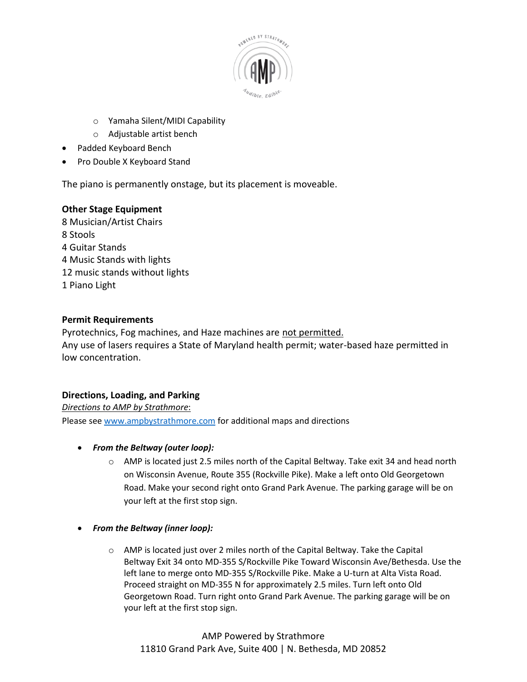

- o Yamaha Silent/MIDI Capability
- o Adjustable artist bench
- Padded Keyboard Bench
- Pro Double X Keyboard Stand

The piano is permanently onstage, but its placement is moveable.

#### **Other Stage Equipment**

8 Musician/Artist Chairs 8 Stools 4 Guitar Stands 4 Music Stands with lights 12 music stands without lights 1 Piano Light

#### **Permit Requirements**

Pyrotechnics, Fog machines, and Haze machines are not permitted. Any use of lasers requires a State of Maryland health permit; water-based haze permitted in low concentration.

#### **Directions, Loading, and Parking**

*Directions to AMP by Strathmore*: Please see [www.ampbystrathmore.com](http://www.ampbystrathmore.com/) for additional maps and directions

- *From the Beltway (outer loop):*
	- $\circ$  AMP is located just 2.5 miles north of the Capital Beltway. Take exit 34 and head north on Wisconsin Avenue, Route 355 (Rockville Pike). Make a left onto Old Georgetown Road. Make your second right onto Grand Park Avenue. The parking garage will be on your left at the first stop sign.
- *From the Beltway (inner loop):*
	- $\circ$  AMP is located just over 2 miles north of the Capital Beltway. Take the Capital Beltway Exit 34 onto MD-355 S/Rockville Pike Toward Wisconsin Ave/Bethesda. Use the left lane to merge onto MD-355 S/Rockville Pike. Make a U-turn at Alta Vista Road. Proceed straight on MD-355 N for approximately 2.5 miles. Turn left onto Old Georgetown Road. Turn right onto Grand Park Avenue. The parking garage will be on your left at the first stop sign.

AMP Powered by Strathmore 11810 Grand Park Ave, Suite 400 | N. Bethesda, MD 20852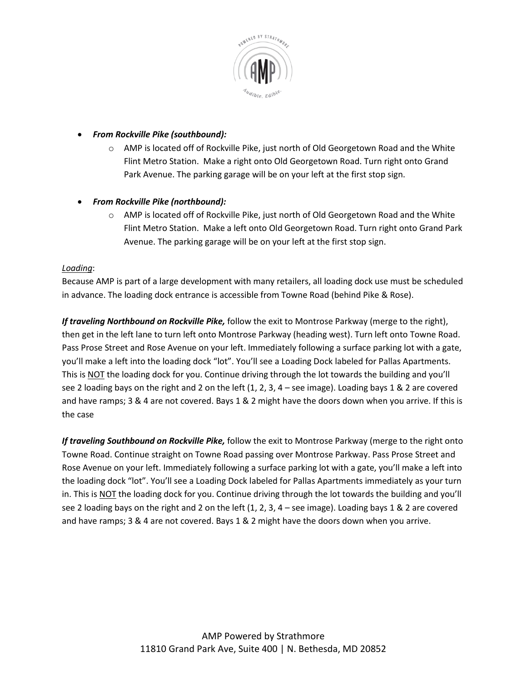

#### • *From Rockville Pike (southbound):*

 $\circ$  AMP is located off of Rockville Pike, just north of Old Georgetown Road and the White Flint Metro Station. Make a right onto Old Georgetown Road. Turn right onto Grand Park Avenue. The parking garage will be on your left at the first stop sign.

### • *From Rockville Pike (northbound):*

 $\circ$  AMP is located off of Rockville Pike, just north of Old Georgetown Road and the White Flint Metro Station. Make a left onto Old Georgetown Road. Turn right onto Grand Park Avenue. The parking garage will be on your left at the first stop sign.

#### *Loading*:

Because AMP is part of a large development with many retailers, all loading dock use must be scheduled in advance. The loading dock entrance is accessible from Towne Road (behind Pike & Rose).

*If traveling Northbound on Rockville Pike,* follow the exit to Montrose Parkway (merge to the right), then get in the left lane to turn left onto Montrose Parkway (heading west). Turn left onto Towne Road. Pass Prose Street and Rose Avenue on your left. Immediately following a surface parking lot with a gate, you'll make a left into the loading dock "lot". You'll see a Loading Dock labeled for Pallas Apartments. This is NOT the loading dock for you. Continue driving through the lot towards the building and you'll see 2 loading bays on the right and 2 on the left  $(1, 2, 3, 4 - \text{see image})$ . Loading bays 1 & 2 are covered and have ramps; 3 & 4 are not covered. Bays 1 & 2 might have the doors down when you arrive. If this is the case

*If traveling Southbound on Rockville Pike,* follow the exit to Montrose Parkway (merge to the right onto Towne Road. Continue straight on Towne Road passing over Montrose Parkway. Pass Prose Street and Rose Avenue on your left. Immediately following a surface parking lot with a gate, you'll make a left into the loading dock "lot". You'll see a Loading Dock labeled for Pallas Apartments immediately as your turn in. This is NOT the loading dock for you. Continue driving through the lot towards the building and you'll see 2 loading bays on the right and 2 on the left  $(1, 2, 3, 4 - \text{see image})$ . Loading bays 1 & 2 are covered and have ramps; 3 & 4 are not covered. Bays 1 & 2 might have the doors down when you arrive.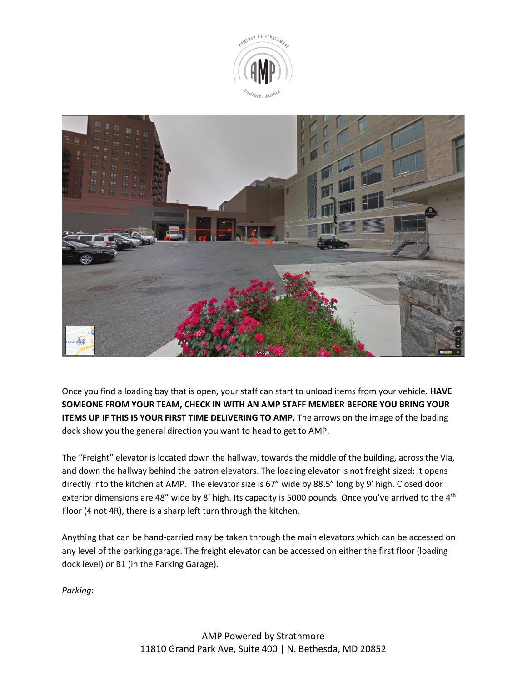



Once you find a loading bay that is open, your staff can start to unload items from your vehicle. **HAVE SOMEONE FROM YOUR TEAM, CHECK IN WITH AN AMP STAFF MEMBER BEFORE YOU BRING YOUR ITEMS UP IF THIS IS YOUR FIRST TIME DELIVERING TO AMP.** The arrows on the image of the loading dock show you the general direction you want to head to get to AMP.

The "Freight" elevator is located down the hallway, towards the middle of the building, across the Via, and down the hallway behind the patron elevators. The loading elevator is not freight sized; it opens directly into the kitchen at AMP. The elevator size is 67" wide by 88.5" long by 9' high. Closed door exterior dimensions are 48" wide by 8' high. Its capacity is 5000 pounds. Once you've arrived to the 4<sup>th</sup> Floor (4 not 4R), there is a sharp left turn through the kitchen.

Anything that can be hand-carried may be taken through the main elevators which can be accessed on any level of the parking garage. The freight elevator can be accessed on either the first floor (loading dock level) or B1 (in the Parking Garage).

*Parking*: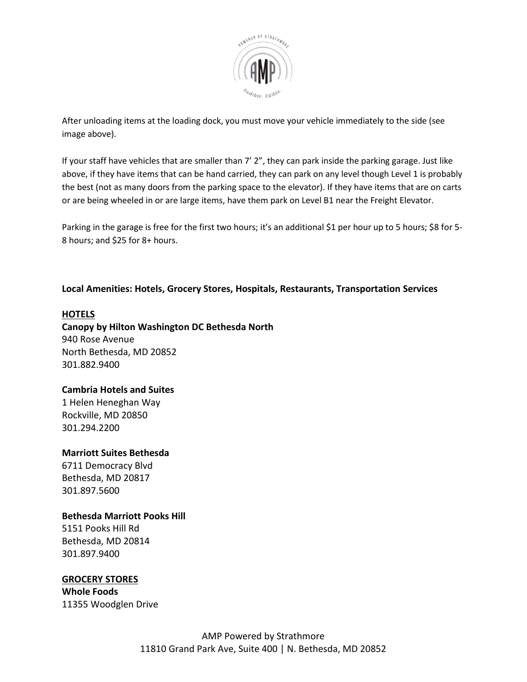

After unloading items at the loading dock, you must move your vehicle immediately to the side (see image above).

If your staff have vehicles that are smaller than 7' 2", they can park inside the parking garage. Just like above, if they have items that can be hand carried, they can park on any level though Level 1 is probably the best (not as many doors from the parking space to the elevator). If they have items that are on carts or are being wheeled in or are large items, have them park on Level B1 near the Freight Elevator.

Parking in the garage is free for the first two hours; it's an additional \$1 per hour up to 5 hours; \$8 for 5- 8 hours; and \$25 for 8+ hours.

## **Local Amenities: Hotels, Grocery Stores, Hospitals, Restaurants, Transportation Services**

### **HOTELS**

**Canopy by Hilton Washington DC Bethesda North** 940 Rose Avenue North Bethesda, MD 20852 301.882.9400

#### **Cambria Hotels and Suites**

1 Helen Heneghan Way Rockville, MD 20850 301.294.2200

## **Marriott Suites Bethesda**

6711 Democracy Blvd Bethesda, MD 20817 301.897.5600

#### **Bethesda Marriott Pooks Hill**

5151 Pooks Hill Rd Bethesda, MD 20814 301.897.9400

### **GROCERY STORES Whole Foods** 11355 Woodglen Drive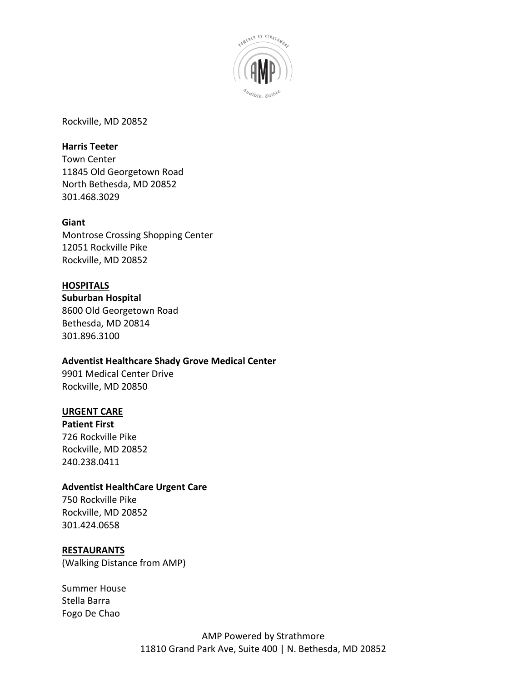

Rockville, MD 20852

#### **Harris Teeter**

Town Center 11845 Old Georgetown Road North Bethesda, MD 20852 301.468.3029

#### **Giant**

Montrose Crossing Shopping Center 12051 Rockville Pike Rockville, MD 20852

#### **HOSPITALS**

**Suburban Hospital** 8600 Old Georgetown Road Bethesda, MD 20814 301.896.3100

#### **Adventist Healthcare Shady Grove Medical Center**

9901 Medical Center Drive Rockville, MD 20850

## **URGENT CARE**

**Patient First** 726 Rockville Pike Rockville, MD 20852 240.238.0411

#### **Adventist HealthCare Urgent Care**

750 Rockville Pike Rockville, MD 20852 301.424.0658

#### **RESTAURANTS**

(Walking Distance from AMP)

Summer House Stella Barra Fogo De Chao